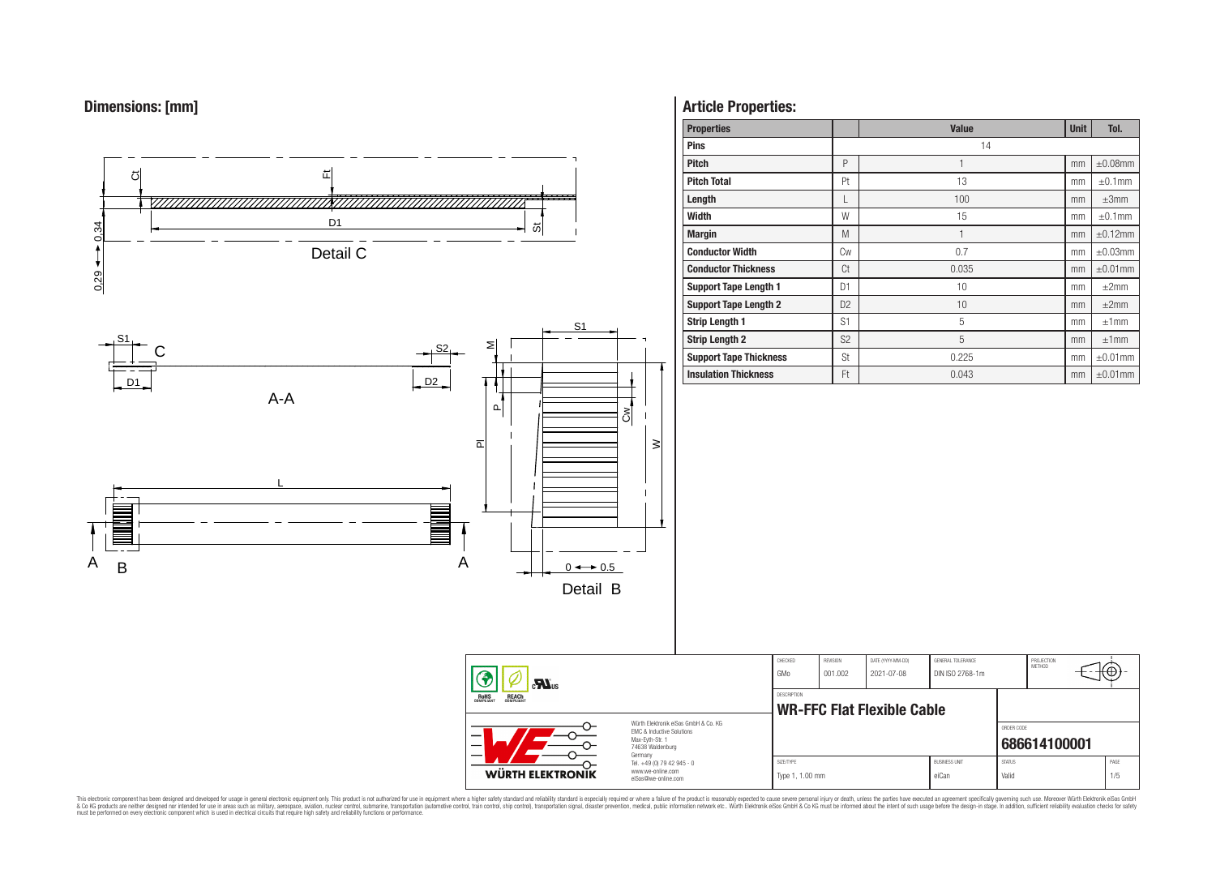# **Dimensions: [mm]**



# **Article Properties:**

| <b>Properties</b>             |                | <b>Value</b> | <b>Unit</b> | Tol.          |
|-------------------------------|----------------|--------------|-------------|---------------|
| <b>Pins</b>                   |                | 14           |             |               |
| <b>Pitch</b>                  | P              |              | mm          | $\pm 0.08$ mm |
| <b>Pitch Total</b>            | Pt             | 13           | mm          | $\pm 0.1$ mm  |
| Length                        | L              | 100          | mm          | $\pm 3$ mm    |
| <b>Width</b>                  | W              | 15           | mm          | $\pm 0.1$ mm  |
| <b>Margin</b>                 | M              | $\mathbf{1}$ | mm          | $\pm 0.12$ mm |
| <b>Conductor Width</b>        | Cw             | 0.7          | mm          | $\pm 0.03$ mm |
| <b>Conductor Thickness</b>    | Ct             | 0.035        | mm          | $\pm 0.01$ mm |
| <b>Support Tape Length 1</b>  | D <sub>1</sub> | 10           | mm          | $\pm 2$ mm    |
| <b>Support Tape Length 2</b>  | D <sub>2</sub> | 10           | mm          | $\pm 2$ mm    |
| <b>Strip Length 1</b>         | S <sub>1</sub> | 5            | mm          | ±1mm          |
| <b>Strip Length 2</b>         | S <sub>2</sub> | 5            | mm          | ±1mm          |
| <b>Support Tape Thickness</b> | St             | 0.225        | mm          | $\pm 0.01$ mm |
| <b>Insulation Thickness</b>   | Ft             | 0.043        | mm          | $\pm 0.01$ mm |

PROJECTION<br>METHOD

(⊕

**[686614100001](https://www.we-online.com/catalog/en/article/686614100001)**

ORDER CODE

This electronic component has been designed and developed for usage in general electronic equipment only. This product is not authorized for subserved requipment where a higher selection equipment where a higher selection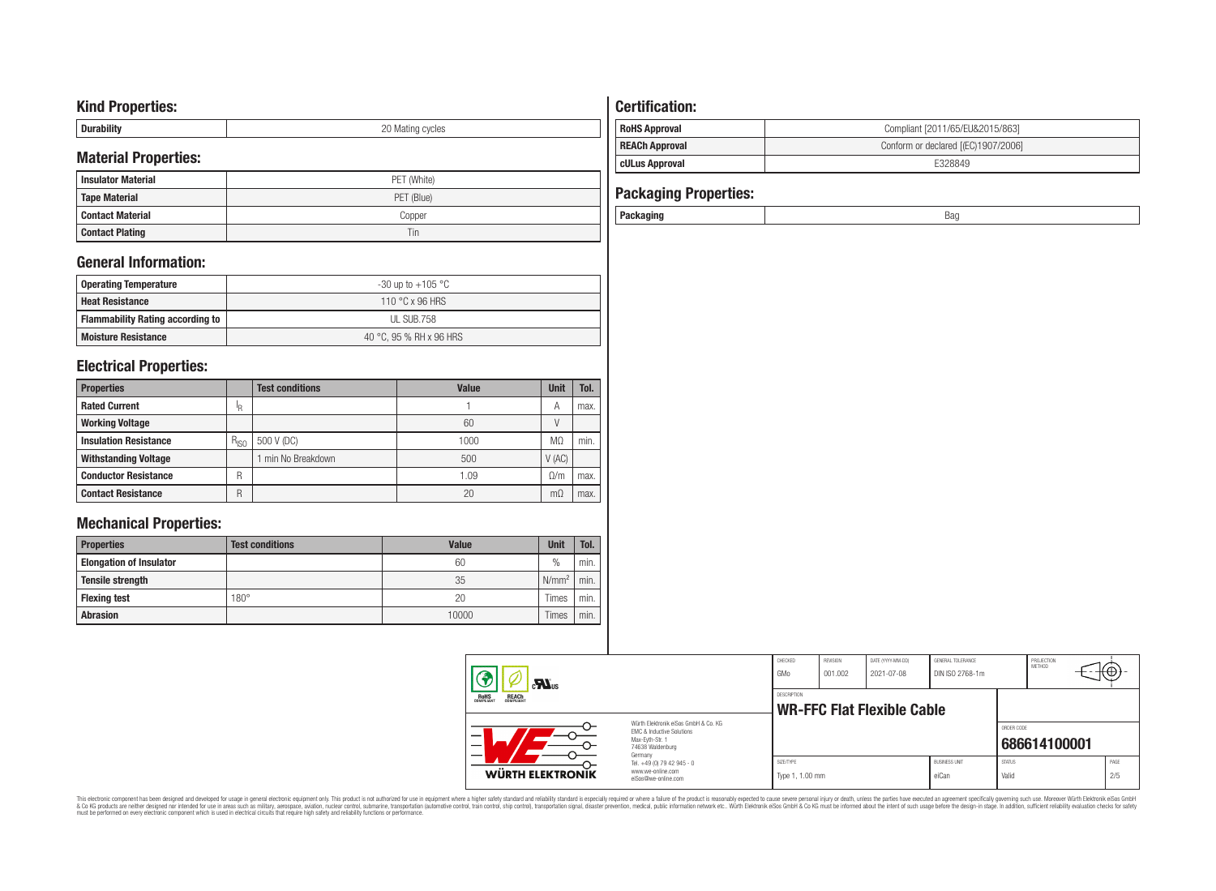# **Kind Properties:**

| --------- | nr<br>∵ycıes<br><b>IVIES LITTLE</b><br>◡ |
|-----------|------------------------------------------|

## **Material Properties:**

| <b>Insulator Material</b> | PET (White) |
|---------------------------|-------------|
| <b>Tape Material</b>      | PET (Blue)  |
| Contact Material          | Copper      |
| <b>Contact Plating</b>    | Tin         |

## **General Information:**

| Operating Temperature                   | -30 up to $+105\text{ °C}$ |
|-----------------------------------------|----------------------------|
| <b>Heat Resistance</b>                  | 110 °C x 96 HRS            |
| <b>Flammability Rating according to</b> | UL SUB.758                 |
| <b>Moisture Resistance</b>              | 40 °C. 95 % RH x 96 HRS    |

## **Electrical Properties:**

| <b>Properties</b>            |           | <b>Test conditions</b> | Value | <b>Unit</b> | Tol. |
|------------------------------|-----------|------------------------|-------|-------------|------|
| <b>Rated Current</b>         | ΙR        |                        |       | A           | max. |
| <b>Working Voltage</b>       |           |                        | 60    |             |      |
| <b>Insulation Resistance</b> | $R_{ISO}$ | 500 V (DC)             | 1000  | МΩ          | min. |
| <b>Withstanding Voltage</b>  |           | min No Breakdown       | 500   | V(AC)       |      |
| <b>Conductor Resistance</b>  | R         |                        | 1.09  | Ω/m         | max. |
| <b>Contact Resistance</b>    | R         |                        | 20    | mΩ          | max. |

# **Mechanical Properties:**

| <b>Properties</b>              | <b>Test conditions</b> | <b>Value</b> | <b>Unit</b>   | Tol. |
|--------------------------------|------------------------|--------------|---------------|------|
| <b>Elongation of Insulator</b> |                        | 60           | $\frac{0}{0}$ | min. |
| <b>Tensile strength</b>        |                        | 35           | $N/mm^2$      | min. |
| <b>Flexing test</b>            | $180^\circ$            | 20           | Times         | min. |
| <b>Abrasion</b>                |                        | 10000        | Times         | min. |

## **Certification: RoHS Approval RoHS Approval Compliant** [2011/65/EU&2015/863] **REACh Approval REACh Approval Conform or declared [(EC)1907/2006] cULus Approval** E328849

| <b>Packaging Properties:</b> |     |
|------------------------------|-----|
| Packaging                    | Bad |

| $\mathbf{M}_{\text{us}}$<br>ROHS<br>COMPLIANT<br><b>REACH</b><br>COMPLIANT |                                                                                                                     | CHECKED<br>GMo                                   | REVISION<br>001.002 | DATE (YYYY-MM-DD)<br>2021-07-08 | GENERAL TOLERANCE<br>DIN ISO 2768-1m |                        | PROJECTION<br>METHOD | ₩Ψ          |
|----------------------------------------------------------------------------|---------------------------------------------------------------------------------------------------------------------|--------------------------------------------------|---------------------|---------------------------------|--------------------------------------|------------------------|----------------------|-------------|
|                                                                            |                                                                                                                     | <b>DESCRIPTION</b><br>WR-FFC Flat Flexible Cable |                     |                                 |                                      |                        |                      |             |
|                                                                            | Würth Flektronik eiSos GmbH & Co. KG<br>EMC & Inductive Solutions<br>Max-Evth-Str. 1<br>74638 Waldenburg<br>Germany |                                                  |                     |                                 |                                      | ORDER CODE             | 686614100001         |             |
| <b>WÜRTH ELEKTRONIK</b>                                                    | Tel. +49 (0) 79 42 945 - 0<br>www.we-online.com<br>eiSos@we-online.com                                              | SIZE/TYPE<br>Type 1, 1.00 mm                     |                     |                                 | <b>BLISINESS LINIT</b><br>eiCan      | <b>STATUS</b><br>Valid |                      | PAGE<br>2/5 |

This electronic component has been designed and developed for usage in general electronic equipment only. This product is not authorized for subserved requipment where a higher selection equipment where a higher selection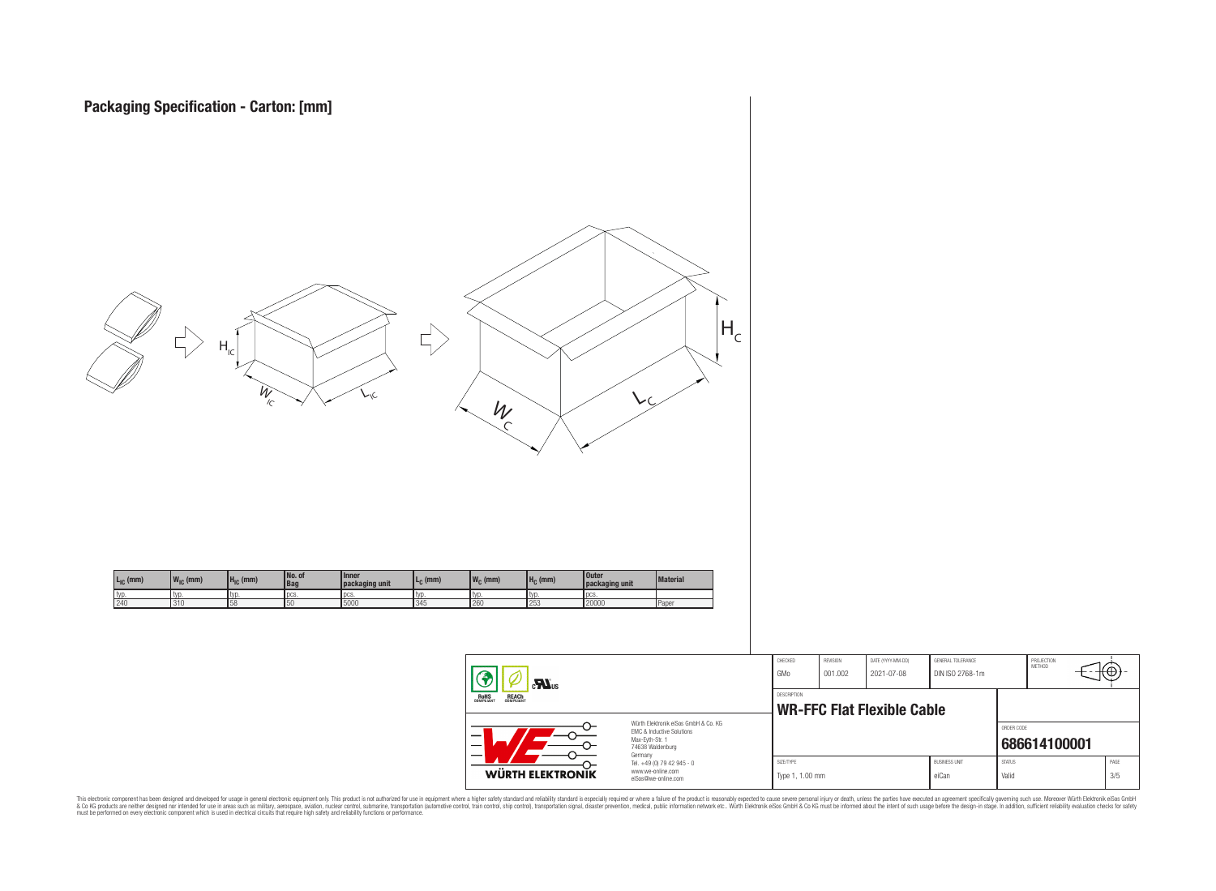



This electronic component has been designed and developed for usage in general electronic equipment only. This product is not authorized for subserved requipment where a higher selection equipment where a higher selection

**WÜRTH ELEKTRONIK** 

www.we-online.com eiSos@we-online.com PROJECTION<br>METHOD

łΘ

**[686614100001](https://www.we-online.com/catalog/en/article/686614100001)**

ORDER CODE

SIZE/TYPE BUSINESS UNIT STATUS PAGE Type 1, 1.00 mm eiCan value of the Valid 3/5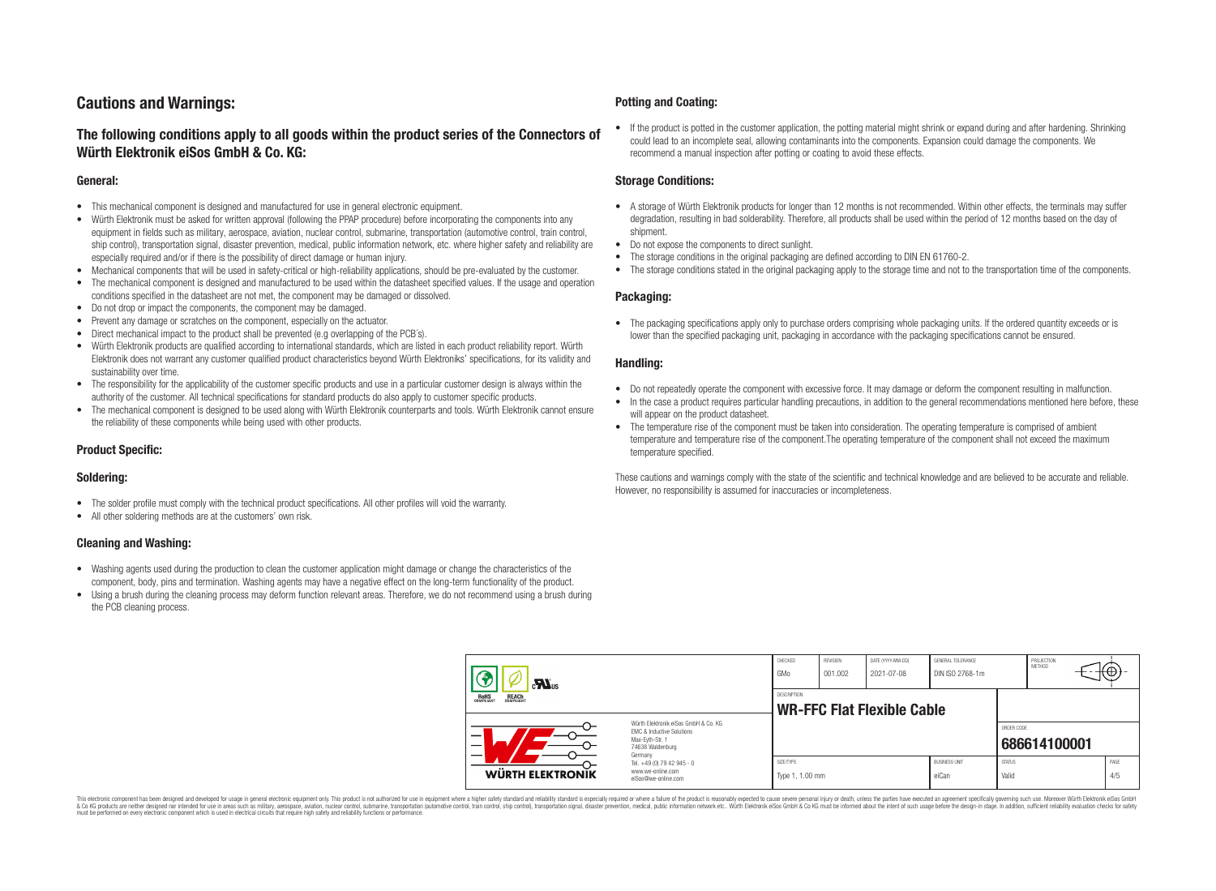# **Cautions and Warnings:**

## **The following conditions apply to all goods within the product series of the Connectors of Würth Elektronik eiSos GmbH & Co. KG:**

#### **General:**

- This mechanical component is designed and manufactured for use in general electronic equipment.
- Würth Elektronik must be asked for written approval (following the PPAP procedure) before incorporating the components into any equipment in fields such as military, aerospace, aviation, nuclear control, submarine, transportation (automotive control, train control, ship control), transportation signal, disaster prevention, medical, public information network, etc. where higher safety and reliability are especially required and/or if there is the possibility of direct damage or human injury.
- Mechanical components that will be used in safety-critical or high-reliability applications, should be pre-evaluated by the customer.
- The mechanical component is designed and manufactured to be used within the datasheet specified values. If the usage and operation conditions specified in the datasheet are not met, the component may be damaged or dissolved.
- Do not drop or impact the components, the component may be damaged.
- Prevent any damage or scratches on the component, especially on the actuator.
- Direct mechanical impact to the product shall be prevented (e.g overlapping of the PCB's).
- Würth Elektronik products are qualified according to international standards, which are listed in each product reliability report. Würth Elektronik does not warrant any customer qualified product characteristics beyond Würth Elektroniks' specifications, for its validity and sustainability over time.
- The responsibility for the applicability of the customer specific products and use in a particular customer design is always within the authority of the customer. All technical specifications for standard products do also apply to customer specific products.
- The mechanical component is designed to be used along with Würth Elektronik counterparts and tools. Würth Elektronik cannot ensure the reliability of these components while being used with other products.

## **Product Specific:**

### **Soldering:**

- The solder profile must comply with the technical product specifications. All other profiles will void the warranty.
- All other soldering methods are at the customers' own risk.

### **Cleaning and Washing:**

- Washing agents used during the production to clean the customer application might damage or change the characteristics of the component, body, pins and termination. Washing agents may have a negative effect on the long-term functionality of the product.
- Using a brush during the cleaning process may deform function relevant areas. Therefore, we do not recommend using a brush during the PCB cleaning process.

#### **Potting and Coating:**

• If the product is potted in the customer application, the potting material might shrink or expand during and after hardening. Shrinking could lead to an incomplete seal, allowing contaminants into the components. Expansion could damage the components. We recommend a manual inspection after potting or coating to avoid these effects.

#### **Storage Conditions:**

- A storage of Würth Elektronik products for longer than 12 months is not recommended. Within other effects, the terminals may suffer degradation, resulting in bad solderability. Therefore, all products shall be used within the period of 12 months based on the day of shipment.
- Do not expose the components to direct sunlight.
- The storage conditions in the original packaging are defined according to DIN EN 61760-2.
- The storage conditions stated in the original packaging apply to the storage time and not to the transportation time of the components.

### **Packaging:**

• The packaging specifications apply only to purchase orders comprising whole packaging units. If the ordered quantity exceeds or is lower than the specified packaging unit, packaging in accordance with the packaging specifications cannot be ensured.

#### **Handling:**

- Do not repeatedly operate the component with excessive force. It may damage or deform the component resulting in malfunction.
- In the case a product requires particular handling precautions, in addition to the general recommendations mentioned here before, these will appear on the product datasheet
- The temperature rise of the component must be taken into consideration. The operating temperature is comprised of ambient temperature and temperature rise of the component.The operating temperature of the component shall not exceed the maximum temperature specified.

These cautions and warnings comply with the state of the scientific and technical knowledge and are believed to be accurate and reliable. However, no responsibility is assumed for inaccuracies or incompleteness.

| $\sum_{s}$                                                                                                                    |                                                                        | CHECKED<br>GMo               | REVISION<br>001.002 | DATE (YYYY-MM-DD)<br>2021-07-08   | GENERAL TOLERANCE<br>DIN ISO 2768-1m |                        | PROJECTION<br>METHOD | ι₩          |
|-------------------------------------------------------------------------------------------------------------------------------|------------------------------------------------------------------------|------------------------------|---------------------|-----------------------------------|--------------------------------------|------------------------|----------------------|-------------|
| <b>ROHS</b><br>COMPLIANT<br><b>REACH</b><br>COMPLIANT                                                                         |                                                                        | DESCRIPTION                  |                     | <b>WR-FFC Flat Flexible Cable</b> |                                      |                        |                      |             |
| Würth Elektronik eiSos GmbH & Co. KG<br>EMC & Inductive Solutions<br>-<br>Max-Eyth-Str. 1<br>—<br>74638 Waldenburg<br>Germany |                                                                        |                              |                     |                                   |                                      | ORDER CODE             | 686614100001         |             |
| WÜRTH ELEKTRONIK                                                                                                              | Tel. +49 (0) 79 42 945 - 0<br>www.we-online.com<br>eiSos@we-online.com | SIZE/TYPE<br>Type 1, 1.00 mm |                     |                                   | <b>BUSINESS UNIT</b><br>eiCan        | <b>STATUS</b><br>Valid |                      | PAGE<br>4/5 |

This electronic component has been designed and developed for usage in general electronic equipment only. This product is not authorized for use in equipment where a higher safety standard and reliability standard si espec & Ook product a label and the membed of the seasuch as marked and as which such a membed and the such assume that income in the seasuch and the simulation and the such assume that include to the such a membed and the such